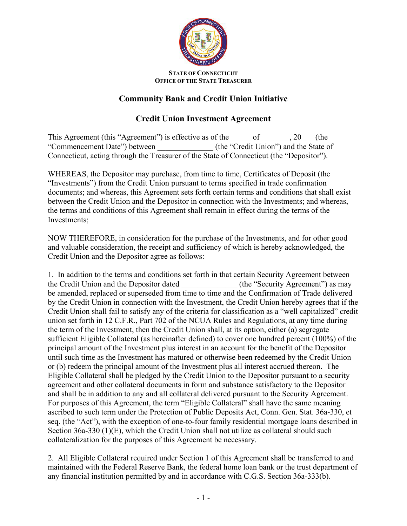

## **STATE OF CONNECTICUT OFFICE OF THE STATE TREASURER**

## **Community Bank and Credit Union Initiative**

## **Credit Union Investment Agreement**

This Agreement (this "Agreement") is effective as of the \_\_\_\_\_\_ of \_\_\_\_\_\_, 20\_\_\_ (the "Commencement Date") between (the "Credit Union") and the State of Connecticut, acting through the Treasurer of the State of Connecticut (the "Depositor").

WHEREAS, the Depositor may purchase, from time to time, Certificates of Deposit (the "Investments") from the Credit Union pursuant to terms specified in trade confirmation documents; and whereas, this Agreement sets forth certain terms and conditions that shall exist between the Credit Union and the Depositor in connection with the Investments; and whereas, the terms and conditions of this Agreement shall remain in effect during the terms of the Investments;

NOW THEREFORE, in consideration for the purchase of the Investments, and for other good and valuable consideration, the receipt and sufficiency of which is hereby acknowledged, the Credit Union and the Depositor agree as follows:

1. In addition to the terms and conditions set forth in that certain Security Agreement between the Credit Union and the Depositor dated (the "Security Agreement") as may be amended, replaced or superseded from time to time and the Confirmation of Trade delivered by the Credit Union in connection with the Investment, the Credit Union hereby agrees that if the Credit Union shall fail to satisfy any of the criteria for classification as a "well capitalized" credit union set forth in 12 C.F.R., Part 702 of the NCUA Rules and Regulations, at any time during the term of the Investment, then the Credit Union shall, at its option, either (a) segregate sufficient Eligible Collateral (as hereinafter defined) to cover one hundred percent (100%) of the principal amount of the Investment plus interest in an account for the benefit of the Depositor until such time as the Investment has matured or otherwise been redeemed by the Credit Union or (b) redeem the principal amount of the Investment plus all interest accrued thereon. The Eligible Collateral shall be pledged by the Credit Union to the Depositor pursuant to a security agreement and other collateral documents in form and substance satisfactory to the Depositor and shall be in addition to any and all collateral delivered pursuant to the Security Agreement. For purposes of this Agreement, the term "Eligible Collateral" shall have the same meaning ascribed to such term under the Protection of Public Deposits Act, Conn. Gen. Stat. 36a-330, et seq. (the "Act"), with the exception of one-to-four family residential mortgage loans described in Section 36a-330 (1)(E), which the Credit Union shall not utilize as collateral should such collateralization for the purposes of this Agreement be necessary.

2. All Eligible Collateral required under Section 1 of this Agreement shall be transferred to and maintained with the Federal Reserve Bank, the federal home loan bank or the trust department of any financial institution permitted by and in accordance with C.G.S. Section 36a-333(b).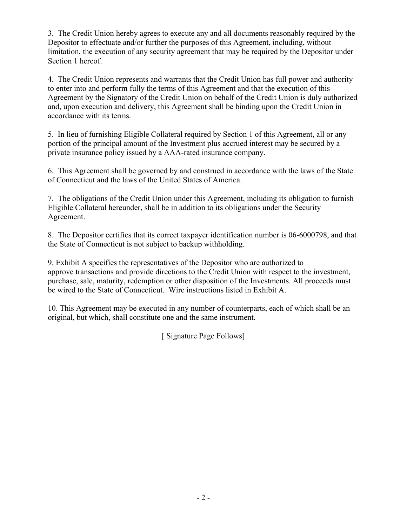3. The Credit Union hereby agrees to execute any and all documents reasonably required by the Depositor to effectuate and/or further the purposes of this Agreement, including, without limitation, the execution of any security agreement that may be required by the Depositor under Section 1 hereof.

4. The Credit Union represents and warrants that the Credit Union has full power and authority to enter into and perform fully the terms of this Agreement and that the execution of this Agreement by the Signatory of the Credit Union on behalf of the Credit Union is duly authorized and, upon execution and delivery, this Agreement shall be binding upon the Credit Union in accordance with its terms.

5. In lieu of furnishing Eligible Collateral required by Section 1 of this Agreement, all or any portion of the principal amount of the Investment plus accrued interest may be secured by a private insurance policy issued by a AAA-rated insurance company.

6. This Agreement shall be governed by and construed in accordance with the laws of the State of Connecticut and the laws of the United States of America.

7. The obligations of the Credit Union under this Agreement, including its obligation to furnish Eligible Collateral hereunder, shall be in addition to its obligations under the Security Agreement.

8. The Depositor certifies that its correct taxpayer identification number is 06-6000798, and that the State of Connecticut is not subject to backup withholding.

9. Exhibit A specifies the representatives of the Depositor who are authorized to approve transactions and provide directions to the Credit Union with respect to the investment, purchase, sale, maturity, redemption or other disposition of the Investments. All proceeds must be wired to the State of Connecticut. Wire instructions listed in Exhibit A.

10. This Agreement may be executed in any number of counterparts, each of which shall be an original, but which, shall constitute one and the same instrument.

[ Signature Page Follows]